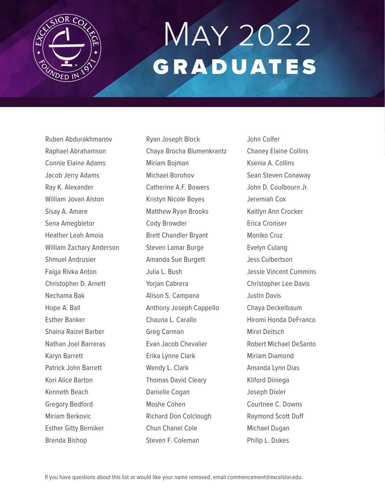

# May 2022 GRADUATES

Ruben Abdurakhmanov Raphael Abrahamson Connie Elaine Adams Jacob Jerry Adams Ray K. Alexander William Jovan Alston Sisay A. Amare Sena Amegbletor Heather Leah Amoia William Zachary Anderson Shmuel Andrusier Faiga Rivka Anton Christopher D. Arnett Nechama Bak Hope A. Ball Esther Banker Shaina Raizel Barber Nathan Joel Barreras Karyn Barrett Patrick John Barrett Kori Alice Barton Kenneth Beach Gregory Bedford Miriam Berkovic Esther Gitty Berniker Brenda Bishop

Ryan Joseph Block Chaya Brocha Blumenkrantz Miriam Bojman Michael Borohov Catherine A.F. Bowers Kristyn Nicole Boyes Matthew Ryan Brooks Cody Browder Brett Chandler Bryant Steven Lamar Burge Amanda Sue Burgett Julia L. Bush Yorian Cabrera Alison S. Campana Anthony Joseph Cappello Chauna L. Carallo Greg Carman Evan Jacob Chevalier Erika Lynne Clark Wendy L. Clark Thomas David Cleary Danielle Cogan Moshe Cohen Richard Don Colclough Chun Chanel Cole Steven F. Coleman

John Colfer Chaney Elaine Collins Ksenia A. Collins Sean Steven Conaway John D. Coulbourn Jr. Jeremiah Cox Kaitlyn Ann Crocker Erica Croniser Moniko Cruz Evelyn Culang Jess Culbertson Jessie Vincent Cummins Christopher Lee Davis Justin Davis Chaya Deckelbaum Hiromi Honda DeFranco Mirel Deitsch Robert Michael DeSanto Miriam Diamond Amanda Lynn Dias Kliford Diniega Joseph Dixler Courtnee C. Downs Raymond Scott Duff Michael Dugan Philip L. Dukes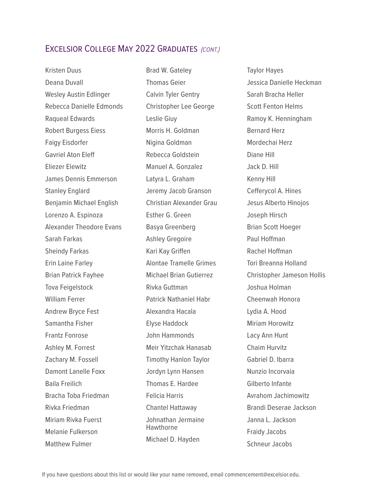Kristen Duus Deana Duvall Wesley Austin Edlinger Rebecca Danielle Edmonds Raqueal Edwards Robert Burgess Eiess Faigy Eisdorfer Gavriel Aton Eleff Eliezer Elewitz James Dennis Emmerson Stanley Englard Benjamin Michael English Lorenzo A. Espinoza Alexander Theodore Evans Sarah Farkas Sheindy Farkas Erin Laine Farley Brian Patrick Fayhee Tova Feigelstock William Ferrer Andrew Bryce Fest Samantha Fisher Frantz Fonrose Ashley M. Forrest Zachary M. Fossell Damont Lanelle Foxx Baila Freilich Bracha Toba Friedman Rivka Friedman Miriam Rivka Fuerst Melanie Fulkerson Matthew Fulmer

Brad W. Gateley Thomas Geier Calvin Tyler Gentry Christopher Lee George Leslie Giuy Morris H. Goldman Nigina Goldman Rebecca Goldstein Manuel A. Gonzalez Latyra L. Graham Jeremy Jacob Granson Christian Alexander Grau Esther G. Green Basya Greenberg Ashley Gregoire Kari Kay Griffen Alontae Tramelle Grimes Michael Brian Gutierrez Rivka Guttman Patrick Nathaniel Habr Alexandra Hacala Elyse Haddock John Hammonds Meir Yitzchak Hanasab Timothy Hanlon Taylor Jordyn Lynn Hansen Thomas E. Hardee Felicia Harris Chantel Hattaway Johnathan Jermaine Hawthorne Michael D. Hayden

Taylor Hayes Jessica Danielle Heckman Sarah Bracha Heller Scott Fenton Helms Ramoy K. Henningham Bernard Herz Mordechai Herz Diane Hill Jack D. Hill Kenny Hill Cefferycol A. Hines Jesus Alberto Hinojos Joseph Hirsch Brian Scott Hoeger Paul Hoffman Rachel Hoffman Tori Breanna Holland Christopher Jameson Hollis Joshua Holman Cheenwah Honora Lydia A. Hood Miriam Horowitz Lacy Ann Hunt Chaim Hurvitz Gabriel D. Ibarra Nunzio Incorvaia Gilberto Infante Avrahom Jachimowitz Brandi Deserae Jackson Janna L. Jackson Fraidy Jacobs Schneur Jacobs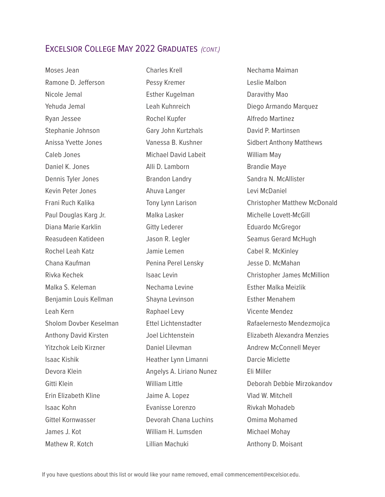Moses Jean Ramone D. Jefferson Nicole Jemal Yehuda Jemal Ryan Jessee Stephanie Johnson Anissa Yvette Jones Caleb Jones Daniel K. Jones Dennis Tyler Jones Kevin Peter Jones Frani Ruch Kalika Paul Douglas Karg Jr. Diana Marie Karklin Reasudeen Katideen Rochel Leah Katz Chana Kaufman Rivka Kechek Malka S. Keleman Benjamin Louis Kellman Leah Kern Sholom Dovber Keselman Anthony David Kirsten Yitzchok Leib Kirzner Isaac Kishik Devora Klein Gitti Klein Erin Elizabeth Kline Isaac Kohn Gittel Kornwasser James J. Kot Mathew R. Kotch

Charles Krell Pessy Kremer Esther Kugelman Leah Kuhnreich Rochel Kupfer Gary John Kurtzhals Vanessa B. Kushner Michael David Labeit Alli D. Lamborn Brandon Landry Ahuva Langer Tony Lynn Larison Malka Lasker Gitty Lederer Jason R. Legler Jamie Lemen Penina Perel Lensky Isaac Levin Nechama Levine Shayna Levinson Raphael Levy Ettel Lichtenstadter Joel Lichtenstein Daniel Lilevman Heather Lynn Limanni Angelys A. Liriano Nunez William Little Jaime A. Lopez Evanisse Lorenzo Devorah Chana Luchins William H. Lumsden Lillian Machuki

Nechama Maiman Leslie Malbon Daravithy Mao Diego Armando Marquez Alfredo Martinez David P. Martinsen Sidbert Anthony Matthews William May Brandie Maye Sandra N. McAllister Levi McDaniel Christopher Matthew McDonald Michelle Lovett-McGill Eduardo McGregor Seamus Gerard McHugh Cabel R. McKinley Jesse D. McMahan Christopher James McMillion Esther Malka Meizlik Esther Menahem Vicente Mendez Rafaelernesto Mendezmojica Elizabeth Alexandra Menzies Andrew McConnell Meyer Darcie Miclette Eli Miller Deborah Debbie Mirzokandov Vlad W. Mitchell Rivkah Mohadeb Omima Mohamed Michael Mohay Anthony D. Moisant

If you have questions about this list or would like your name removed, email commencement@excelsior.edu.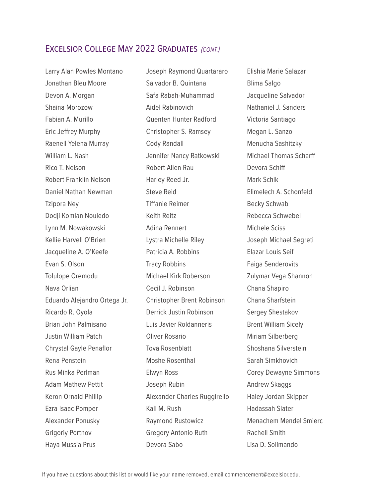Larry Alan Powles Montano Jonathan Bleu Moore Devon A. Morgan Shaina Morozow Fabian A. Murillo Eric Jeffrey Murphy Raenell Yelena Murray William L. Nash Rico T. Nelson Robert Franklin Nelson Daniel Nathan Newman Tzipora Ney Dodji Komlan Nouledo Lynn M. Nowakowski Kellie Harvell O'Brien Jacqueline A. O'Keefe Evan S. Olson Tolulope Oremodu Nava Orlian Eduardo Alejandro Ortega Jr. Ricardo R. Oyola Brian John Palmisano Justin William Patch Chrystal Gayle Penaflor Rena Penstein Rus Minka Perlman Adam Mathew Pettit Keron Ornald Phillip Ezra Isaac Pomper Alexander Ponusky Grigoriy Portnov Haya Mussia Prus

Joseph Raymond Quartararo Salvador B. Quintana Safa Rabah-Muhammad Aidel Rabinovich Quenten Hunter Radford Christopher S. Ramsey Cody Randall Jennifer Nancy Ratkowski Robert Allen Rau Harley Reed Jr. Steve Reid Tiffanie Reimer Keith Reitz Adina Rennert Lystra Michelle Riley Patricia A. Robbins Tracy Robbins Michael Kirk Roberson Cecil J. Robinson Christopher Brent Robinson Derrick Justin Robinson Luis Javier Roldanneris Oliver Rosario Tova Rosenblatt Moshe Rosenthal Elwyn Ross Joseph Rubin Alexander Charles Ruggirello Kali M. Rush Raymond Rustowicz Gregory Antonio Ruth Devora Sabo

Elishia Marie Salazar Blima Salgo Jacqueline Salvador Nathaniel J. Sanders Victoria Santiago Megan L. Sanzo Menucha Sashitzky Michael Thomas Scharff Devora Schiff Mark Schik Elimelech A. Schonfeld Becky Schwab Rebecca Schwebel Michele Sciss Joseph Michael Segreti Elazar Louis Seif Faiga Senderovits Zulymar Vega Shannon Chana Shapiro Chana Sharfstein Sergey Shestakov Brent William Sicely Miriam Silberberg Shoshana Silverstein Sarah Simkhovich Corey Dewayne Simmons Andrew Skaggs Haley Jordan Skipper Hadassah Slater Menachem Mendel Smierc Rachell Smith Lisa D. Solimando